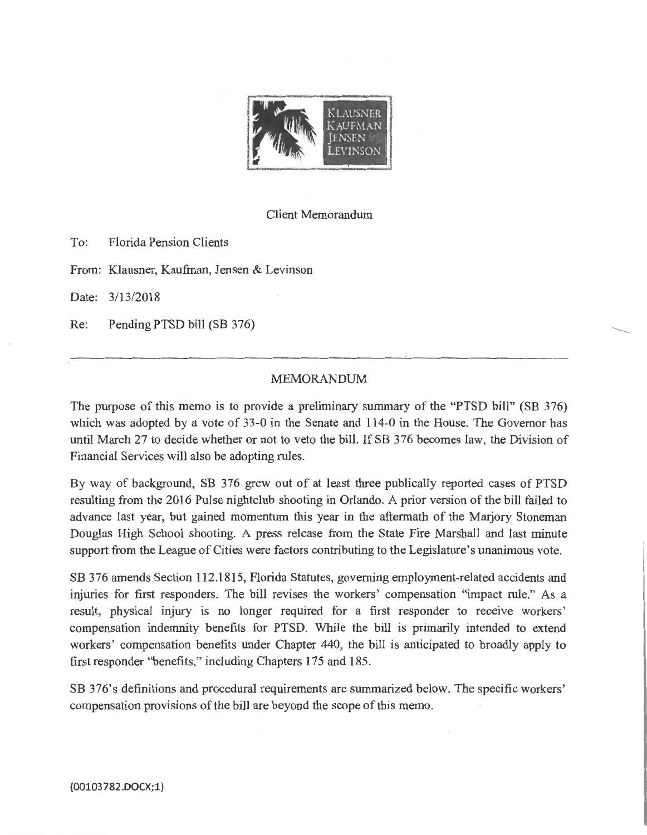

Client Memorandum

To: Florida Pension Clients

From: Klausner, Kaufman, Jensen & Levinson

Date: 3/13/2018

Re: Pending PTSD bill (SB 376)

## MEMORANDUM

The purpose of this memo is to provide a preliminary summary of the "PTSD bill" (SB 376) which was adopted by a vote of 33-0 in the Senate and 114-0 in the House. The Governor has until March 27 to decide whether or not to veto the bill. If SB 376 becomes law, the Division of Financial Services will also be adopting rules.

By way of background, SB 376 grew out of at least three publically reported cases of PTSD resulting from the 2016 Pulse nightclub shooting in Orlando. A prior version of the bill failed to advance last year, but gained momentum this year in the aftermath of the Marjory Stoneman Douglas High School shooting. A press release from the State Fire Marshall and last minute support from the League of Cities were factors contributing to the Legislature's unanimous vote.

SB 376 amends Section 112.1815, Florida Statutes, governing employment-related accidents and injuries for first responders. The bill revises the workers' compensation "impact rule." As a result, physical injury is no longer required for a first responder to receive workers' compensation indemnity benefits for PTSD. While the bill is primarily intended to extend workers' compensation benefits under Chapter 440, the bill is anticipated to broadly apply to first responder "benefits," including Chapters 175 and 185.

SB 376's definitions and procedural requirements are summarized below. The specific workers' compensation provisions of the bill are beyond the scope of this memo.